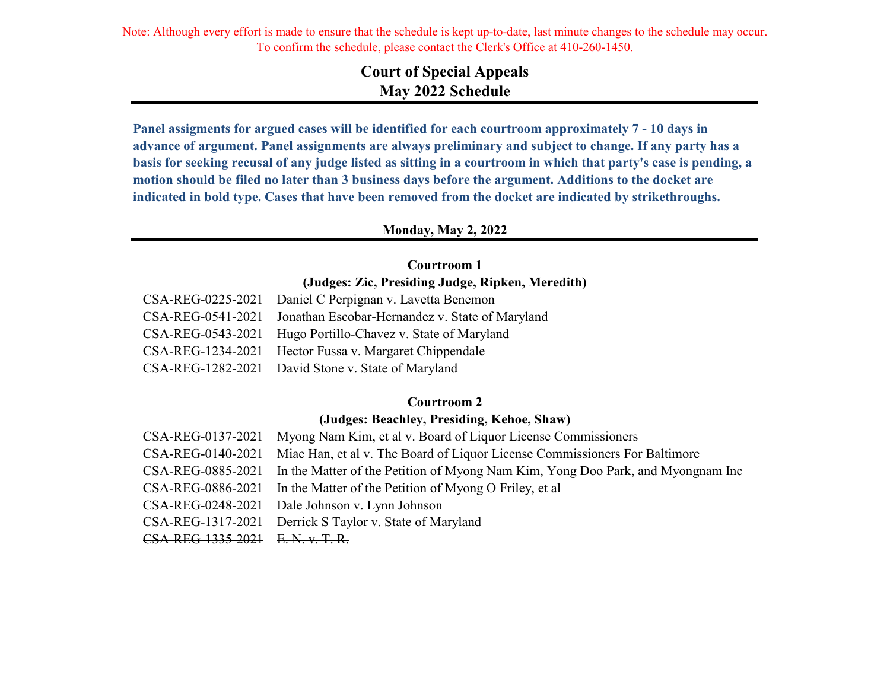# **Court of Special Appeals May 2022 Schedule**

**Panel assigments for argued cases will be identified for each courtroom approximately 7 - 10 days in advance of argument. Panel assignments are always preliminary and subject to change. If any party has a basis for seeking recusal of any judge listed as sitting in a courtroom in which that party's case is pending, a motion should be filed no later than 3 business days before the argument. Additions to the docket are indicated in bold type. Cases that have been removed from the docket are indicated by strikethroughs.**

#### **Monday, May 2, 2022**

#### **Courtroom 1**

**(Judges: Zic, Presiding Judge, Ripken, Meredith)**

| CSA-REG-0225-2021 Daniel C Perpignan v. Lavetta Benemon           |
|-------------------------------------------------------------------|
| CSA-REG-0541-2021 Jonathan Escobar-Hernandez v. State of Maryland |
| CSA-REG-0543-2021 Hugo Portillo-Chavez v. State of Maryland       |
| CSA-REG-1234-2021 Hector Fussa v. Margaret Chippendale            |
| CSA-REG-1282-2021 David Stone v. State of Maryland                |

### **Courtroom 2**

### **(Judges: Beachley, Presiding, Kehoe, Shaw)**

| CSA-REG-0137-2021               | Myong Nam Kim, et al v. Board of Liquor License Commissioners                                     |
|---------------------------------|---------------------------------------------------------------------------------------------------|
| CSA-REG-0140-2021               | Miae Han, et al v. The Board of Liquor License Commissioners For Baltimore                        |
|                                 | CSA-REG-0885-2021 In the Matter of the Petition of Myong Nam Kim, Yong Doo Park, and Myongnam Inc |
|                                 | CSA-REG-0886-2021 In the Matter of the Petition of Myong O Friley, et al                          |
|                                 | CSA-REG-0248-2021 Dale Johnson v. Lynn Johnson                                                    |
|                                 | CSA-REG-1317-2021 Derrick S Taylor v. State of Maryland                                           |
| CSA-REG-1335-2021 E.N. v. T. R. |                                                                                                   |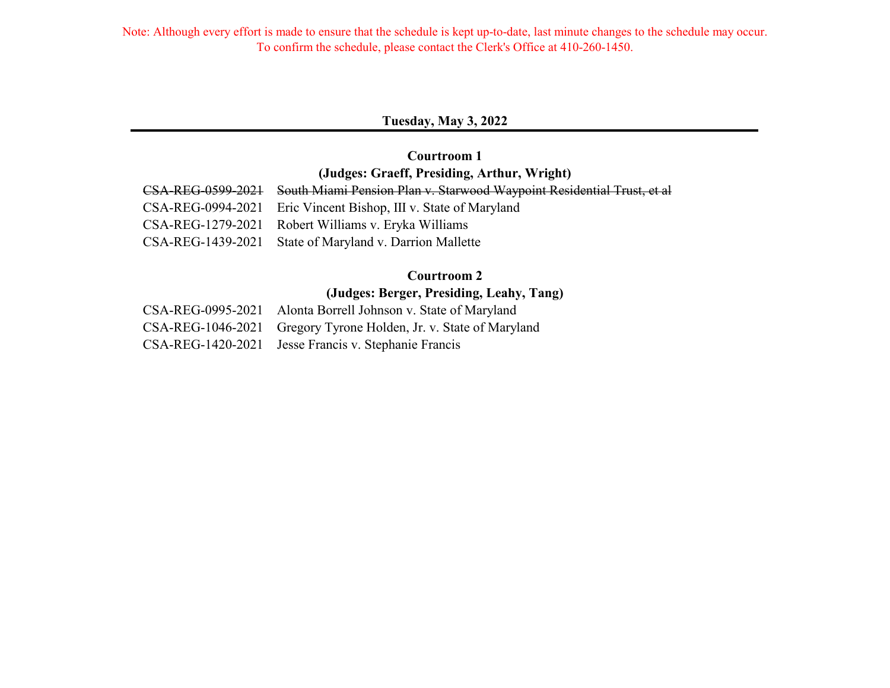### **Tuesday, May 3, 2022**

## **(Judges: Graeff, Presiding, Arthur, Wright) Courtroom 1**

| CSA-REG-0599-2021 South Miami Pension Plan v. Starwood Waypoint Residential Trust, et al |
|------------------------------------------------------------------------------------------|
| CSA-REG-0994-2021 Eric Vincent Bishop, III v. State of Maryland                          |
| CSA-REG-1279-2021 Robert Williams v. Eryka Williams                                      |
| CSA-REG-1439-2021 State of Maryland v. Darrion Mallette                                  |

### **Courtroom 2**

## **(Judges: Berger, Presiding, Leahy, Tang)**

| CSA-REG-0995-2021 Alonta Borrell Johnson v. State of Maryland     |
|-------------------------------------------------------------------|
| CSA-REG-1046-2021 Gregory Tyrone Holden, Jr. v. State of Maryland |
| CSA-REG-1420-2021 Jesse Francis v. Stephanie Francis              |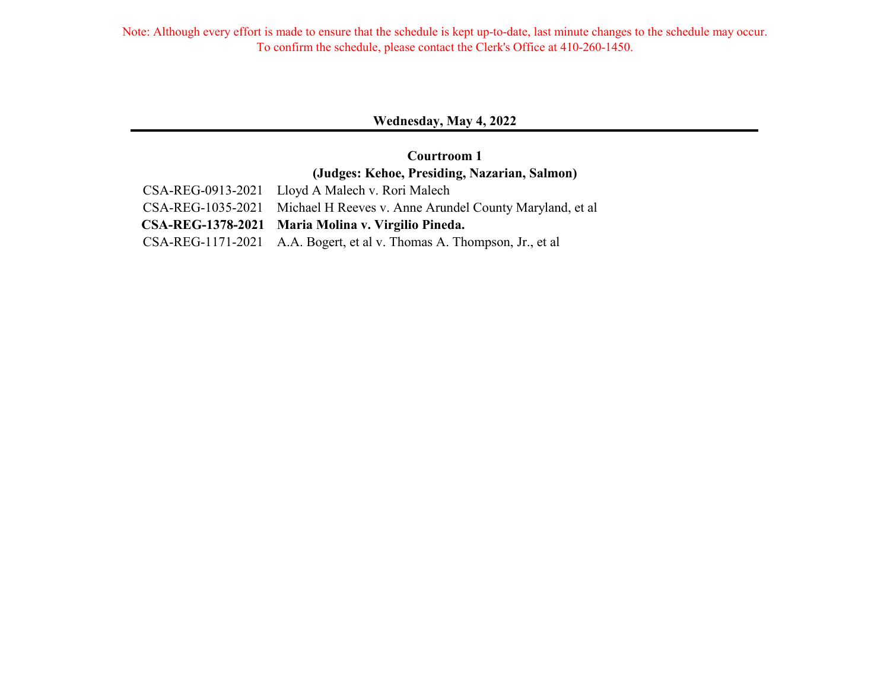### **Wednesday, May 4, 2022**

## **Courtroom 1 (Judges: Kehoe, Presiding, Nazarian, Salmon)**

| CSA-REG-0913-2021 Lloyd A Malech v. Rori Malech                           |
|---------------------------------------------------------------------------|
| CSA-REG-1035-2021 Michael H Reeves v. Anne Arundel County Maryland, et al |
| CSA-REG-1378-2021 Maria Molina v. Virgilio Pineda.                        |
| CSA-REG-1171-2021 A.A. Bogert, et al v. Thomas A. Thompson, Jr., et al    |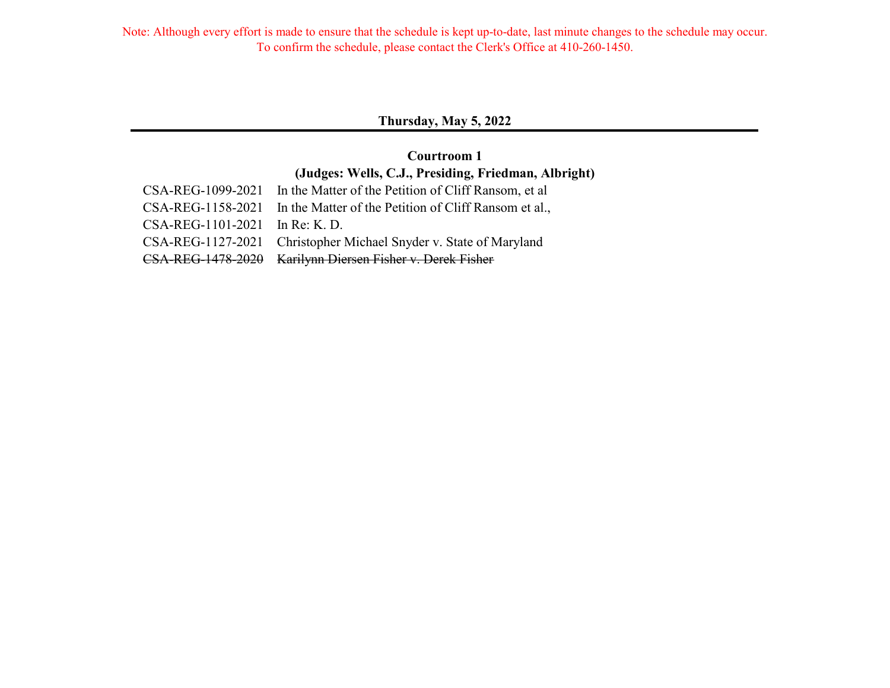### **Thursday, May 5, 2022**

## **Courtroom 1 (Judges: Wells, C.J., Presiding, Friedman, Albright)**

|                                | CSA-REG-1099-2021 In the Matter of the Petition of Cliff Ransom, et al  |
|--------------------------------|-------------------------------------------------------------------------|
|                                | CSA-REG-1158-2021 In the Matter of the Petition of Cliff Ransom et al., |
| CSA-REG-1101-2021 In Re: K. D. |                                                                         |
|                                | CSA-REG-1127-2021 Christopher Michael Snyder v. State of Maryland       |
|                                | CSA-REG-1478-2020 Karilynn Diersen Fisher v. Derek Fisher               |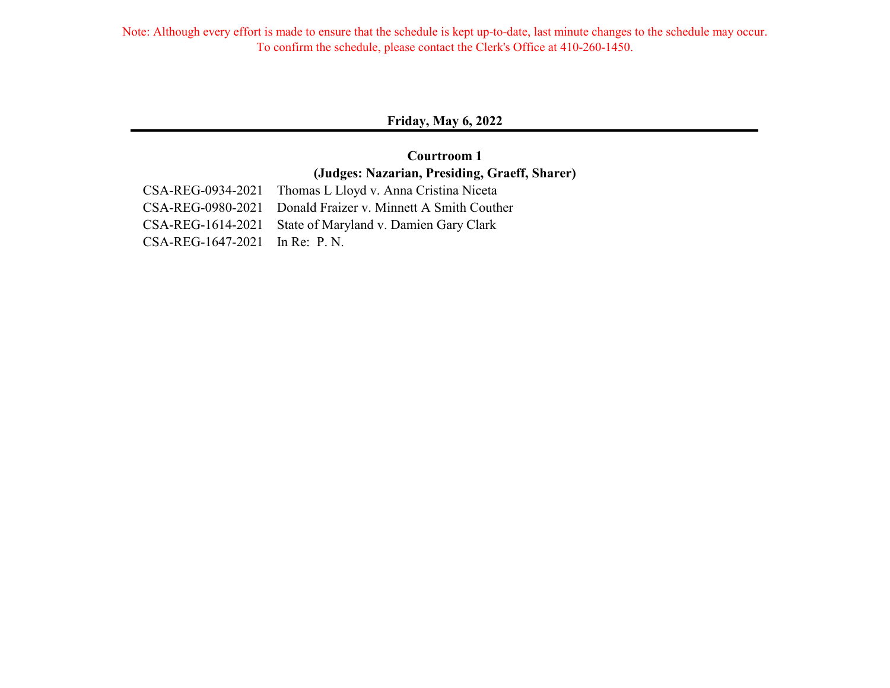### **Friday, May 6, 2022**

## **Courtroom 1 (Judges: Nazarian, Presiding, Graeff, Sharer)**

|                                | CSA-REG-0934-2021 Thomas L Lloyd v. Anna Cristina Niceta    |
|--------------------------------|-------------------------------------------------------------|
|                                | CSA-REG-0980-2021 Donald Fraizer v. Minnett A Smith Couther |
|                                | CSA-REG-1614-2021 State of Maryland v. Damien Gary Clark    |
| CSA-REG-1647-2021 In Re: P. N. |                                                             |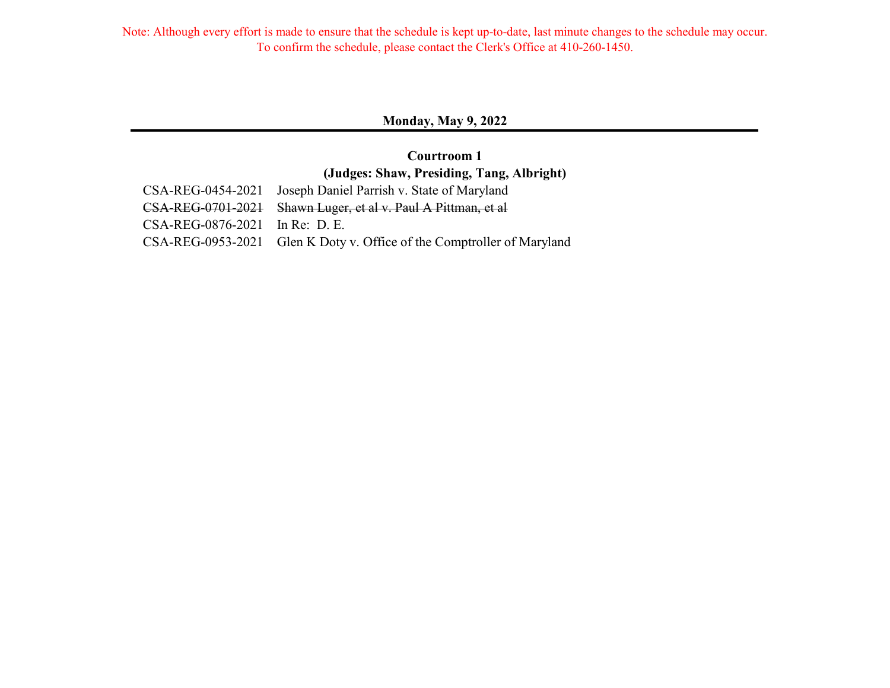### **Monday, May 9, 2022**

## **Courtroom 1 (Judges: Shaw, Presiding, Tang, Albright)**

|                                  | CSA-REG-0454-2021 Joseph Daniel Parrish v. State of Maryland           |
|----------------------------------|------------------------------------------------------------------------|
|                                  | CSA-REG-0701-2021 Shawn Luger, et al v. Paul A Pittman, et al          |
| $CSA-REG-0876-2021$ In Re: D. E. |                                                                        |
|                                  | CSA-REG-0953-2021 Glen K Doty v. Office of the Comptroller of Maryland |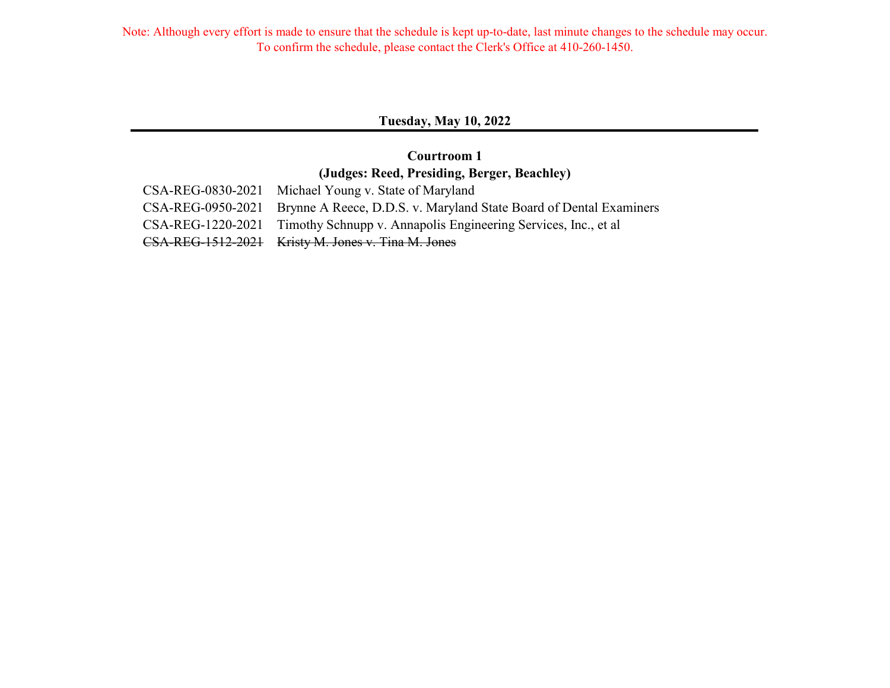### **Tuesday, May 10, 2022**

## **Courtroom 1 (Judges: Reed, Presiding, Berger, Beachley)**

| CSA-REG-0830-2021 Michael Young v. State of Maryland                                 |
|--------------------------------------------------------------------------------------|
| CSA-REG-0950-2021 Brynne A Reece, D.D.S. v. Maryland State Board of Dental Examiners |
| CSA-REG-1220-2021 Timothy Schnupp v. Annapolis Engineering Services, Inc., et al     |
| CSA-REG-1512-2021 Kristy M. Jones v. Tina M. Jones                                   |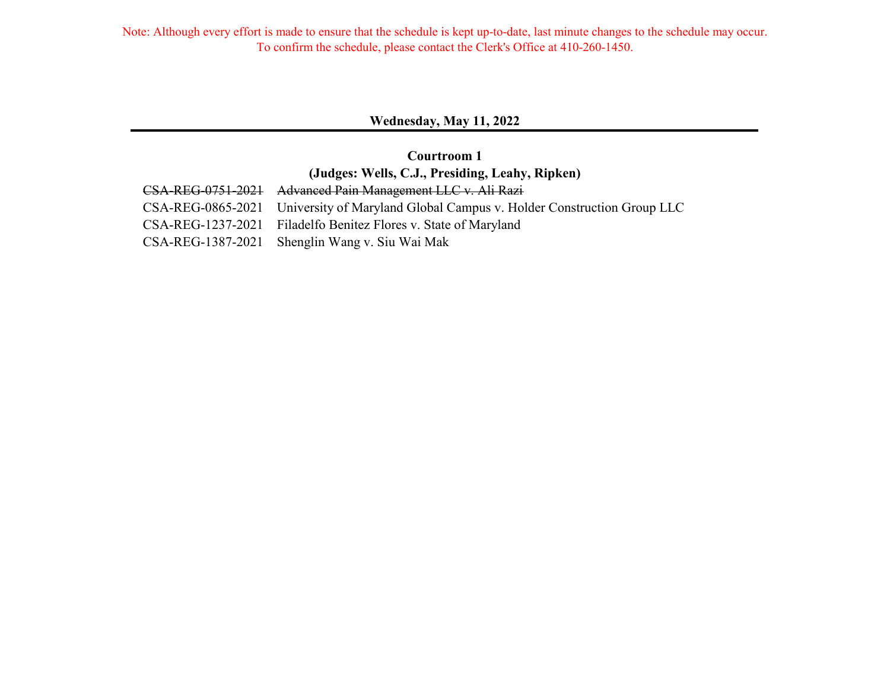### **Wednesday, May 11, 2022**

## **Courtroom 1 (Judges: Wells, C.J., Presiding, Leahy, Ripken)**

| CSA-REG-0751-2021 Advanced Pain Management LLC v. Ali Razi                              |
|-----------------------------------------------------------------------------------------|
| CSA-REG-0865-2021 University of Maryland Global Campus v. Holder Construction Group LLC |
| CSA-REG-1237-2021 Filadelfo Benitez Flores v. State of Maryland                         |
| CSA-REG-1387-2021 Shenglin Wang v. Siu Wai Mak                                          |